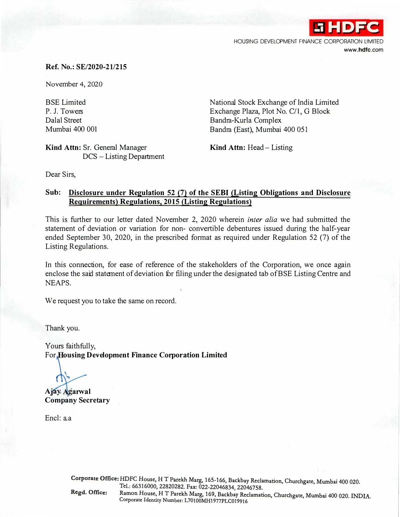

HOUSING DEVELOPMENT FINANCE CORPORATION LIMITED **www.hdfc.com** 

## **Ref. No.: SE/2020-21/215**

November 4, 2020

BSE Limited P. J. Towers Dalal Street Mumbai 400 001

**Kind Attn:** Sr. General Manager DCS - Listing Department National Stock Exchange of India Limited Exchange Plaza, Plot No. C/1, G Block Bandra-Kurla Complex Bandra (East), Mumbai 400 051

**Kind Attn:** Head- Listing

Dear Sirs,

## **Sub: Disclosure under Regulation 52** (7) **of the SEBI (Listing Obligations and Disclosure Requirements) Regulations, 2015 {Listing Regulations)**

This is further to our letter dated November 2, 2020 wherein *inter alia* we had submitted the statement of deviation or variation for non- convertible debentures issued during the half-year ended September 30, 2020, in the prescribed format as required under Regulation 52 (7) of the Listing Regulations.

In this connection, for ease of reference of the stakeholders of the Corporation, we once again enclose the said statement of deviation for filing under the designated tab of BSE Listing Centre and NEAPS.

We request you to take the same on record.

Thank you.

Yours faithfully, For **Housing Development Finance Corporation Limited** 

**A** jay, Agarwal **Company Secretary** 

Encl:aa

**Corporate Office: HDFC House, HT P <sup>a</sup>rekh Marg, 165-166, Backbay Reclamation, Churchgate, Mumbai 400 020. Tel.:66316000,22820282.Fa.x:022-22046834,22046758.**

**Regd. Office: Ramon Hous� HT Patekh Marg, 169, Backbay Reclamation, Churchgate, Mumbai 400 020. INDIA. Corporate ldcnt:tty Number: L70100MH1977PLC0l 9916**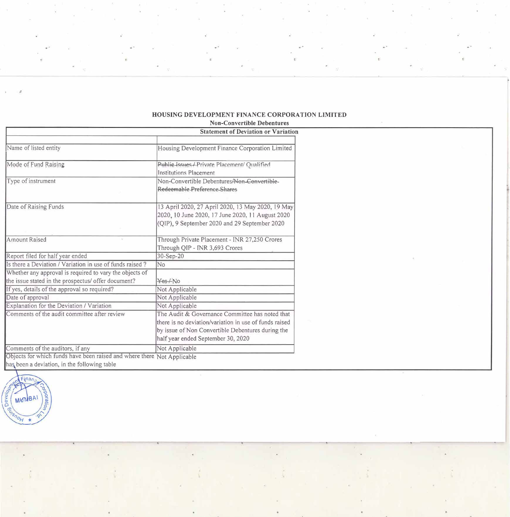|                                                                                                                | <b>Statement of Deviation or Variation</b>                                                                                                                                                           |  |  |
|----------------------------------------------------------------------------------------------------------------|------------------------------------------------------------------------------------------------------------------------------------------------------------------------------------------------------|--|--|
| Name of listed entity                                                                                          | Housing Development Finance Corporation Limited                                                                                                                                                      |  |  |
| Mode of Fund Raising                                                                                           | Publie-Issues-APrivate Placement/ Qualified<br><b>Institutions Placement</b>                                                                                                                         |  |  |
| Type of instrument                                                                                             | Non-Convertible Debentures/Non-Convertible-<br>Redeemable Preference Shares                                                                                                                          |  |  |
| Date of Raising Funds                                                                                          | 13 April 2020, 27 April 2020, 13 May 2020, 19 May<br>2020, 10 June 2020, 17 June 2020, 11 August 2020<br>(QIP), 9 September 2020 and 29 September 2020                                               |  |  |
| <b>Amount Raised</b>                                                                                           | Through Private Placement - INR 27,250 Crores<br>Through QIP - INR 3,693 Crores                                                                                                                      |  |  |
| Report filed for half year ended                                                                               | 30-Sep-20                                                                                                                                                                                            |  |  |
| Is there a Deviation / Variation in use of funds raised?                                                       | No                                                                                                                                                                                                   |  |  |
| Whether any approval is required to vary the objects of<br>the issue stated in the prospectus/ offer document? | Yes / No                                                                                                                                                                                             |  |  |
| If yes, details of the approval so required?                                                                   | Not Applicable                                                                                                                                                                                       |  |  |
| Date of approval                                                                                               | Not Applicable                                                                                                                                                                                       |  |  |
| Explanation for the Deviation / Variation                                                                      | Not Applicable                                                                                                                                                                                       |  |  |
| Comments of the audit committee after review                                                                   | The Audit & Governance Committee has noted that<br>there is no deviation/variation in use of funds raised<br>by issue of Non Convertible Debentures during the<br>half year ended September 30, 2020 |  |  |
| Comments of the auditors, if any                                                                               | Not Applicable                                                                                                                                                                                       |  |  |
| Objects for which funds have been raised and where there Not Applicable                                        |                                                                                                                                                                                                      |  |  |
| has been a deviation, in the following table                                                                   |                                                                                                                                                                                                      |  |  |

## HOUSING DEVELOPMENT FINANCE CORPORATION LIMITED

**Non-Convertible Debentures**